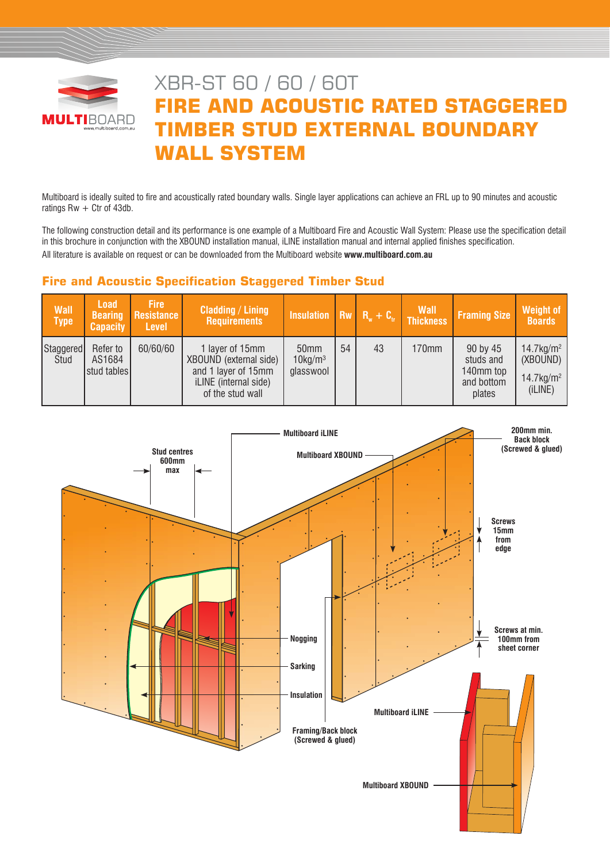

# XBR-ST 60 / 60 / 60T **FIRE AND ACOUSTIC RATED STAGGERED TIMBER STUD EXTERNAL BOUNDARY WALL SYSTEM**

Multiboard is ideally suited to fire and acoustically rated boundary walls. Single layer applications can achieve an FRL up to 90 minutes and acoustic ratings  $Rw + C$ tr of 43db.

The following construction detail and its performance is one example of a Multiboard Fire and Acoustic Wall System: Please use the specification detail in this brochure in conjunction with the XBOUND installation manual, iLINE installation manual and internal applied finishes specification. All literature is available on request or can be downloaded from the Multiboard website **www.multiboard.com.au**

# **Fire and Acoustic Specification Staggered Timber Stud**

| Wall<br><b>Type</b> | <b>Load</b><br><b>Bearing</b><br><b>Capacity</b> | <b>Fire</b><br>Resistance<br><b>Level</b> | <b>Cladding / Lining</b><br><b>Requirements</b>                                                               | Insulation $\overline{R_w + C_u}$ Thickness             |    |    | <b>Wall</b> | <b>Framing Size</b>                                        | Weight of<br><b>Boards</b>                                                  |
|---------------------|--------------------------------------------------|-------------------------------------------|---------------------------------------------------------------------------------------------------------------|---------------------------------------------------------|----|----|-------------|------------------------------------------------------------|-----------------------------------------------------------------------------|
| Staggered<br>Stud   | Refer to<br>AS1684<br>stud tables                | 60/60/60                                  | 1 layer of 15mm<br>XBOUND (external side)<br>and 1 layer of 15mm<br>iLINE (internal side)<br>of the stud wall | 50 <sub>mm</sub><br>$10$ kg/m <sup>3</sup><br>glasswool | 54 | 43 | 170mm       | 90 by 45<br>studs and<br>140mm top<br>and bottom<br>plates | $14.7$ kg/m <sup>2</sup><br>(XBOUND)<br>$14.7$ kg/m <sup>2</sup><br>(iLINE) |